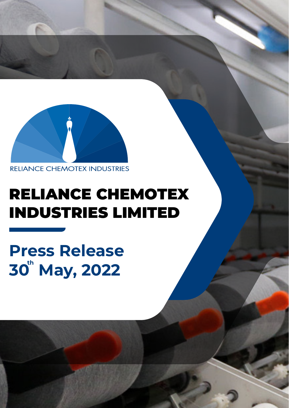

**RELIANCE CHEMOTEX INDUSTRIES** 

# RELIANCE CHEMOTEX INDUSTRIES LIMITED

**Press Release** 30<sup>th</sup> May, 2022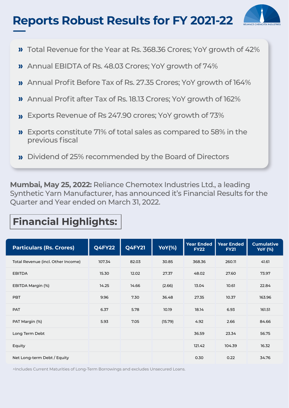## **Reports Robust Results for FY 2021-22**



- **»** Total Revenue for the Year at Rs. 368.36 Crores; YoY growth of 42%
- Annual EBIDTA of Rs. 48.03 Crores; YoY growth of 74%
- Annual Profit Before Tax of Rs. 27.35 Crores; YoY growth of 164%
- Annual Profit after Tax of Rs. 18.13 Crores; YoY growth of 162%
- **»** Exports Revenue of Rs 247.90 crores; YoY growth of 73%
- **»** Exports constitute 71% of total sales as compared to 58% in the previous fiscal
- **»** Dividend of 25% recommended by the Board of Directors

**Mumbai, May 25, 2022:** Reliance Chemotex Industries Ltd., a leading Synthetic Yarn Manufacturer, has announced it's Financial Results for the Quarter and Year ended on March 31, 2022.

### **Financial Highlights:**

| <b>Particulars (Rs. Crores)</b>    | Q4FY22 | Q4FY21 | <b>YoY(%)</b> | <b>Year Ended</b><br><b>FY22</b> | <b>Year Ended</b><br><b>FY21</b> | <b>Cumulative</b><br><b>YoY</b> (%) |
|------------------------------------|--------|--------|---------------|----------------------------------|----------------------------------|-------------------------------------|
| Total Revenue (incl. Other Income) | 107.34 | 82.03  | 30.85         | 368.36                           | 260.11                           | 41.61                               |
| <b>EBITDA</b>                      | 15.30  | 12.02  | 27.37         | 48.02                            | 27.60                            | 73.97                               |
| EBITDA Margin (%)                  | 14.25  | 14.66  | (2.66)        | 13.04                            | 10.61                            | 22.84                               |
| <b>PBT</b>                         | 9.96   | 7.30   | 36.48         | 27.35                            | 10.37                            | 163.96                              |
| <b>PAT</b>                         | 6.37   | 5.78   | 10.19         | 18.14                            | 6.93                             | 161.51                              |
| PAT Margin (%)                     | 5.93   | 7.05   | (15.79)       | 4.92                             | 2.66                             | 84.66                               |
| Long Term Debt                     |        |        |               | 36.59                            | 23.34                            | 56.75                               |
| Equity                             |        |        |               | 121.42                           | 104.39                           | 16.32                               |
| Net Long-term Debt / Equity        |        |        |               | 0.30                             | 0.22                             | 34.76                               |

^Includes Current Maturities of Long-Term Borrowings and excludes Unsecured Loans.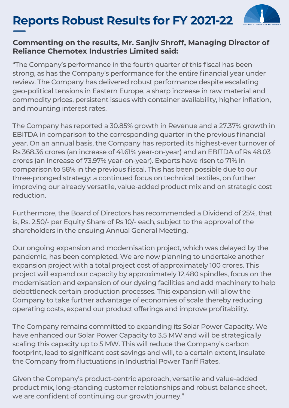## **Reports Robust Results for FY 2021-22**



#### **Commenting on the results, Mr. Sanjiv Shroff, Managing Director of Reliance Chemotex Industries Limited said:**

"The Company's performance in the fourth quarter of this fiscal has been strong, as has the Company's performance for the entire financial year under review. The Company has delivered robust performance despite escalating geo-political tensions in Eastern Europe, a sharp increase in raw material and commodity prices, persistent issues with container availability, higher inflation, and mounting interest rates.

The Company has reported a 30.85% growth in Revenue and a 27.37% growth in EBITDA in comparison to the corresponding quarter in the previous financial year. On an annual basis, the Company has reported its highest-ever turnover of Rs 368.36 crores (an increase of 41.61% year-on-year) and an EBITDA of Rs 48.03 crores (an increase of 73.97% year-on-year). Exports have risen to 71% in comparison to 58% in the previous fiscal. This has been possible due to our three-pronged strategy: a continued focus on technical textiles, on further improving our already versatile, value-added product mix and on strategic cost reduction.

Furthermore, the Board of Directors has recommended a Dividend of 25%, that is, Rs. 2.50/- per Equity Share of Rs 10/- each, subject to the approval of the shareholders in the ensuing Annual General Meeting.

Our ongoing expansion and modernisation project, which was delayed by the pandemic, has been completed. We are now planning to undertake another expansion project with a total project cost of approximately 100 crores. This project will expand our capacity by approximately 12,480 spindles, focus on the modernisation and expansion of our dyeing facilities and add machinery to help debottleneck certain production processes. This expansion will allow the Company to take further advantage of economies of scale thereby reducing operating costs, expand our product offerings and improve profitability.

The Company remains committed to expanding its Solar Power Capacity. We have enhanced our Solar Power Capacity to 3.5 MW and will be strategically scaling this capacity up to 5 MW. This will reduce the Company's carbon footprint, lead to significant cost savings and will, to a certain extent, insulate the Company from fluctuations in Industrial Power Tariff Rates.

Given the Company's product-centric approach, versatile and value-added product mix, long-standing customer relationships and robust balance sheet, we are confident of continuing our growth journey."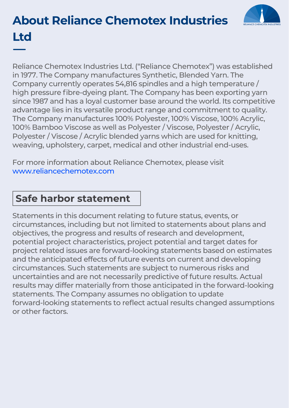# **About Reliance Chemotex Industries Ltd**

Reliance Chemotex Industries Ltd. ("Reliance Chemotex") was established in 1977. The Company manufactures Synthetic, Blended Yarn. The Company currently operates 54,816 spindles and a high temperature / high pressure fibre-dyeing plant. The Company has been exporting yarn since 1987 and has a loyal customer base around the world. Its competitive advantage lies in its versatile product range and commitment to quality. The Company manufactures 100% Polyester, 100% Viscose, 100% Acrylic, 100% Bamboo Viscose as well as Polyester / Viscose, Polyester / Acrylic, Polyester / Viscose / Acrylic blended yarns which are used for knitting, weaving, upholstery, carpet, medical and other industrial end-uses.

For more information about Reliance Chemotex, please visit www.reliancechemotex.com

#### **Safe harbor statement**

Statements in this document relating to future status, events, or circumstances, including but not limited to statements about plans and objectives, the progress and results of research and development, potential project characteristics, project potential and target dates for project related issues are forward-looking statements based on estimates and the anticipated effects of future events on current and developing circumstances. Such statements are subject to numerous risks and uncertainties and are not necessarily predictive of future results. Actual results may differ materially from those anticipated in the forward-looking statements. The Company assumes no obligation to update forward-looking statements to reflect actual results changed assumptions or other factors.